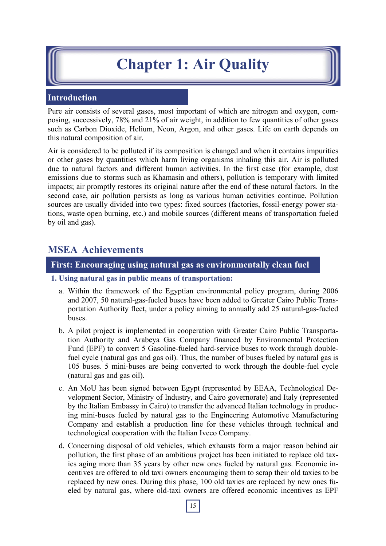# **Chapter 1: Air Quality**

# **Introduction**

Pure air consists of several gases, most important of which are nitrogen and oxygen, composing, successively, 78% and 21% of air weight, in addition to few quantities of other gases such as Carbon Dioxide, Helium, Neon, Argon, and other gases. Life on earth depends on this natural composition of air.

Air is considered to be polluted if its composition is changed and when it contains impurities or other gases by quantities which harm living organisms inhaling this air. Air is polluted due to natural factors and different human activities. In the first case (for example, dust emissions due to storms such as Khamasin and others), pollution is temporary with limited impacts; air promptly restores its original nature after the end of these natural factors. In the second case, air pollution persists as long as various human activities continue. Pollution sources are usually divided into two types: fixed sources (factories, fossil-energy power stations, waste open burning, etc.) and mobile sources (different means of transportation fueled by oil and gas).

# **MSEA Achievements**

### **First: Encouraging using natural gas as environmentally clean fuel**

- **1. Using natural gas in public means of transportation:**
	- a. Within the framework of the Egyptian environmental policy program, during 2006 and 2007, 50 natural-gas-fueled buses have been added to Greater Cairo Public Transportation Authority fleet, under a policy aiming to annually add 25 natural-gas-fueled buses.
	- b. A pilot project is implemented in cooperation with Greater Cairo Public Transportation Authority and Arabeya Gas Company financed by Environmental Protection Fund (EPF) to convert 5 Gasoline-fueled hard-service buses to work through doublefuel cycle (natural gas and gas oil). Thus, the number of buses fueled by natural gas is 105 buses. 5 mini-buses are being converted to work through the double-fuel cycle (natural gas and gas oil).
	- c. An MoU has been signed between Egypt (represented by EEAA, Technological Development Sector, Ministry of Industry, and Cairo governorate) and Italy (represented by the Italian Embassy in Cairo) to transfer the advanced Italian technology in producing mini-buses fueled by natural gas to the Engineering Automotive Manufacturing Company and establish a production line for these vehicles through technical and technological cooperation with the Italian Iveco Company.
	- d. Concerning disposal of old vehicles, which exhausts form a major reason behind air pollution, the first phase of an ambitious project has been initiated to replace old taxies aging more than 35 years by other new ones fueled by natural gas. Economic incentives are offered to old taxi owners encouraging them to scrap their old taxies to be replaced by new ones. During this phase, 100 old taxies are replaced by new ones fueled by natural gas, where old-taxi owners are offered economic incentives as EPF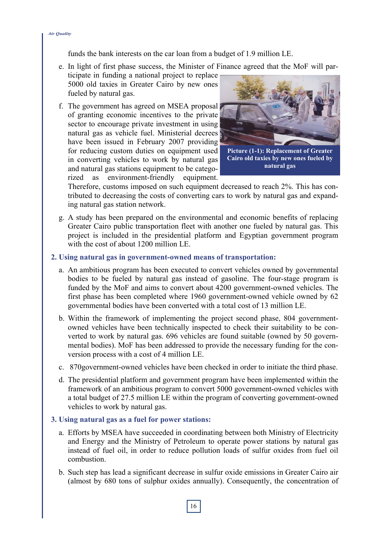funds the bank interests on the car loan from a budget of 1.9 million LE.

- e. In light of first phase success, the Minister of Finance agreed that the MoF will par
	- ticipate in funding a national project to replace 5000 old taxies in Greater Cairo by new ones fueled by natural gas.
- f. The government has agreed on MSEA proposal of granting economic incentives to the private sector to encourage private investment in using natural gas as vehicle fuel. Ministerial decrees have been issued in February 2007 providing for reducing custom duties on equipment used in converting vehicles to work by natural gas and natural gas stations equipment to be categorized as environment-friendly equipment.



**Picture (1-1): Replacement of Greater Cairo old taxies by new ones fueled by natural gas** 

Therefore, customs imposed on such equipment decreased to reach 2%. This has contributed to decreasing the costs of converting cars to work by natural gas and expanding natural gas station network.

g. A study has been prepared on the environmental and economic benefits of replacing Greater Cairo public transportation fleet with another one fueled by natural gas. This project is included in the presidential platform and Egyptian government program with the cost of about 1200 million LE.

#### **2. Using natural gas in government-owned means of transportation:**

- a. An ambitious program has been executed to convert vehicles owned by governmental bodies to be fueled by natural gas instead of gasoline. The four-stage program is funded by the MoF and aims to convert about 4200 government-owned vehicles. The first phase has been completed where 1960 government-owned vehicle owned by 62 governmental bodies have been converted with a total cost of 13 million LE.
- b. Within the framework of implementing the project second phase, 804 governmentowned vehicles have been technically inspected to check their suitability to be converted to work by natural gas. 696 vehicles are found suitable (owned by 50 governmental bodies). MoF has been addressed to provide the necessary funding for the conversion process with a cost of 4 million LE.
- c. 870 government-owned vehicles have been checked in order to initiate the third phase.
- d. The presidential platform and government program have been implemented within the framework of an ambitious program to convert 5000 government-owned vehicles with a total budget of 27.5 million LE within the program of converting government-owned vehicles to work by natural gas.

#### **3. Using natural gas as a fuel for power stations:**

- a. Efforts by MSEA have succeeded in coordinating between both Ministry of Electricity and Energy and the Ministry of Petroleum to operate power stations by natural gas instead of fuel oil, in order to reduce pollution loads of sulfur oxides from fuel oil combustion.
- b. Such step has lead a significant decrease in sulfur oxide emissions in Greater Cairo air (almost by 680 tons of sulphur oxides annually). Consequently, the concentration of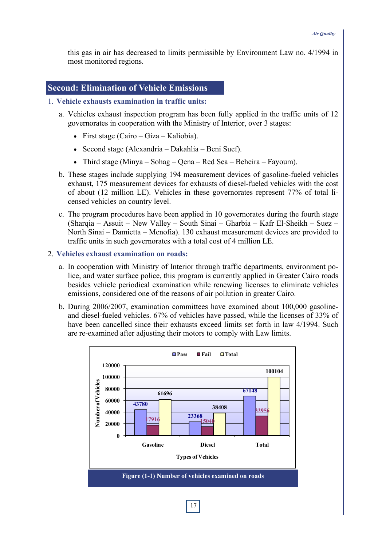this gas in air has decreased to limits permissible by Environment Law no. 4/1994 in most monitored regions.

#### **Second: Elimination of Vehicle Emissions**

#### 1. **Vehicle exhausts examination in traffic units:**

- a. Vehicles exhaust inspection program has been fully applied in the traffic units of 12 governorates in cooperation with the Ministry of Interior, over 3 stages:
	- First stage (Cairo Giza Kaliobia).
	- Second stage (Alexandria Dakahlia Beni Suef).
	- Third stage (Minya Sohag Qena Red Sea Beheira Fayoum).
- b. These stages include supplying 194 measurement devices of gasoline-fueled vehicles exhaust, 175 measurement devices for exhausts of diesel-fueled vehicles with the cost of about (12 million LE). Vehicles in these governorates represent 77% of total licensed vehicles on country level.
- c. The program procedures have been applied in 10 governorates during the fourth stage (Sharqia – Assuit – New Valley – South Sinai – Gharbia – Kafr El-Sheikh – Suez – North Sinai – Damietta – Menofia). 130 exhaust measurement devices are provided to traffic units in such governorates with a total cost of 4 million LE.
- 2. **Vehicles exhaust examination on roads:**
	- a. In cooperation with Ministry of Interior through traffic departments, environment police, and water surface police, this program is currently applied in Greater Cairo roads besides vehicle periodical examination while renewing licenses to eliminate vehicles emissions, considered one of the reasons of air pollution in greater Cairo.
	- b. During 2006/2007, examination committees have examined about 100,000 gasolineand diesel-fueled vehicles. 67% of vehicles have passed, while the licenses of 33% of have been cancelled since their exhausts exceed limits set forth in law 4/1994. Such are re-examined after adjusting their motors to comply with Law limits.

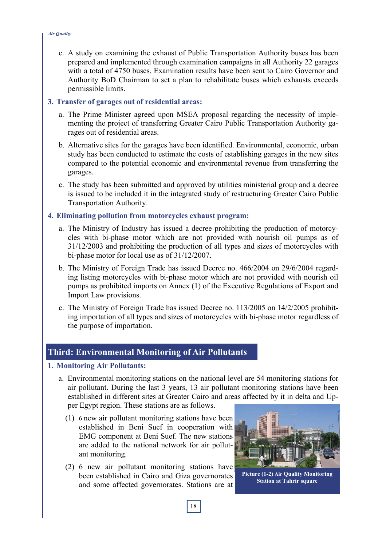c. A study on examining the exhaust of Public Transportation Authority buses has been prepared and implemented through examination campaigns in all Authority 22 garages with a total of 4750 buses. Examination results have been sent to Cairo Governor and Authority BoD Chairman to set a plan to rehabilitate buses which exhausts exceeds permissible limits.

#### **3. Transfer of garages out of residential areas:**

- a. The Prime Minister agreed upon MSEA proposal regarding the necessity of implementing the project of transferring Greater Cairo Public Transportation Authority garages out of residential areas.
- b. Alternative sites for the garages have been identified. Environmental, economic, urban study has been conducted to estimate the costs of establishing garages in the new sites compared to the potential economic and environmental revenue from transferring the garages.
- c. The study has been submitted and approved by utilities ministerial group and a decree is issued to be included it in the integrated study of restructuring Greater Cairo Public Transportation Authority.

#### **4. Eliminating pollution from motorcycles exhaust program:**

- a. The Ministry of Industry has issued a decree prohibiting the production of motorcycles with bi-phase motor which are not provided with nourish oil pumps as of 31/12/2003 and prohibiting the production of all types and sizes of motorcycles with bi-phase motor for local use as of 31/12/2007.
- b. The Ministry of Foreign Trade has issued Decree no. 466/2004 on 29/6/2004 regarding listing motorcycles with bi-phase motor which are not provided with nourish oil pumps as prohibited imports on Annex (1) of the Executive Regulations of Export and Import Law provisions.
- c. The Ministry of Foreign Trade has issued Decree no. 113/2005 on 14/2/2005 prohibiting importation of all types and sizes of motorcycles with bi-phase motor regardless of the purpose of importation.

# **Third: Environmental Monitoring of Air Pollutants**

#### **1. Monitoring Air Pollutants:**

- a. Environmental monitoring stations on the national level are 54 monitoring stations for air pollutant. During the last 3 years, 13 air pollutant monitoring stations have been established in different sites at Greater Cairo and areas affected by it in delta and Upper Egypt region. These stations are as follows.
	- (1) 6 new air pollutant monitoring stations have been established in Beni Suef in cooperation with EMG component at Beni Suef. The new stations are added to the national network for air pollutant monitoring.
	- (2) 6 new air pollutant monitoring stations have been established in Cairo and Giza governorates and some affected governorates. Stations are at



**Picture (1-2) Air Quality Monitoring Station at Tahrir square**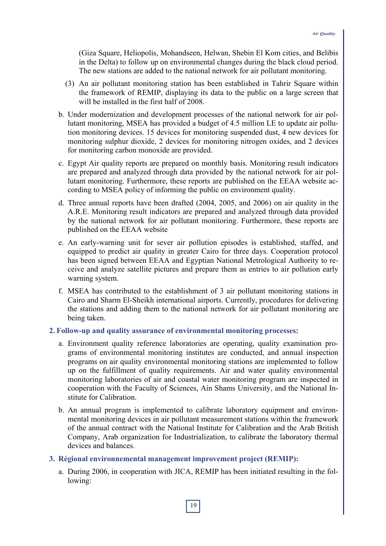(Giza Square, Heliopolis, Mohandseen, Helwan, Shebin El Kom cities, and Belibis in the Delta) to follow up on environmental changes during the black cloud period. The new stations are added to the national network for air pollutant monitoring.

- (3) An air pollutant monitoring station has been established in Tahrir Square within the framework of REMIP, displaying its data to the public on a large screen that will be installed in the first half of 2008.
- b. Under modernization and development processes of the national network for air pollutant monitoring, MSEA has provided a budget of 4.5 million LE to update air pollution monitoring devices. 15 devices for monitoring suspended dust, 4 new devices for monitoring sulphur dioxide, 2 devices for monitoring nitrogen oxides, and 2 devices for monitoring carbon monoxide are provided.
- c. Egypt Air quality reports are prepared on monthly basis. Monitoring result indicators are prepared and analyzed through data provided by the national network for air pollutant monitoring. Furthermore, these reports are published on the EEAA website according to MSEA policy of informing the public on environment quality.
- d. Three annual reports have been drafted (2004, 2005, and 2006) on air quality in the A.R.E. Monitoring result indicators are prepared and analyzed through data provided by the national network for air pollutant monitoring. Furthermore, these reports are published on the EEAA website
- e. An early-warning unit for sever air pollution episodes is established, staffed, and equipped to predict air quality in greater Cairo for three days. Cooperation protocol has been signed between EEAA and Egyptian National Metrological Authority to receive and analyze satellite pictures and prepare them as entries to air pollution early warning system.
- f. MSEA has contributed to the establishment of 3 air pollutant monitoring stations in Cairo and Sharm El-Sheikh international airports. Currently, procedures for delivering the stations and adding them to the national network for air pollutant monitoring are being taken.

#### **2. Follow-up and quality assurance of environmental monitoring processes:**

- a. Environment quality reference laboratories are operating, quality examination programs of environmental monitoring institutes are conducted, and annual inspection programs on air quality environmental monitoring stations are implemented to follow up on the fulfillment of quality requirements. Air and water quality environmental monitoring laboratories of air and coastal water monitoring program are inspected in cooperation with the Faculty of Sciences, Ain Shams University, and the National Institute for Calibration.
- b. An annual program is implemented to calibrate laboratory equipment and environmental monitoring devices in air pollutant measurement stations within the framework of the annual contract with the National Institute for Calibration and the Arab British Company, Arab organization for Industrialization, to calibrate the laboratory thermal devices and balances.

#### **3. Régional environnemental management improvement project (REMIP):**

a. During 2006, in cooperation with JICA, REMIP has been initiated resulting in the following: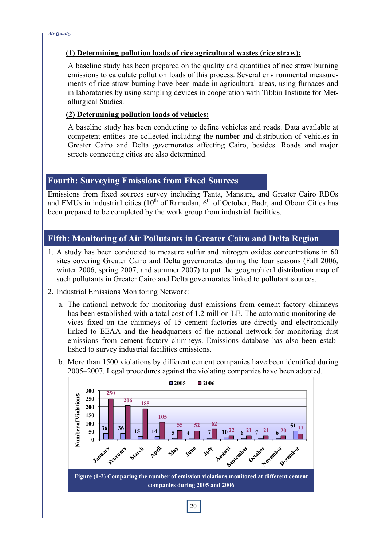#### **(1) Determining pollution loads of rice agricultural wastes (rice straw):**

A baseline study has been prepared on the quality and quantities of rice straw burning emissions to calculate pollution loads of this process. Several environmental measurements of rice straw burning have been made in agricultural areas, using furnaces and in laboratories by using sampling devices in cooperation with Tibbin Institute for Metallurgical Studies.

#### **(2) Determining pollution loads of vehicles:**

A baseline study has been conducting to define vehicles and roads. Data available at competent entities are collected including the number and distribution of vehicles in Greater Cairo and Delta governorates affecting Cairo, besides. Roads and major streets connecting cities are also determined.

# **Fourth: Surveying Emissions from Fixed Sources**

Emissions from fixed sources survey including Tanta, Mansura, and Greater Cairo RBOs and EMUs in industrial cities  $(10<sup>th</sup>$  of Ramadan,  $6<sup>th</sup>$  of October, Badr, and Obour Cities has been prepared to be completed by the work group from industrial facilities.

# **Fifth: Monitoring of Air Pollutants in Greater Cairo and Delta Region**

- 1. A study has been conducted to measure sulfur and nitrogen oxides concentrations in 60 sites covering Greater Cairo and Delta governorates during the four seasons (Fall 2006, winter 2006, spring 2007, and summer 2007) to put the geographical distribution map of such pollutants in Greater Cairo and Delta governorates linked to pollutant sources.
- 2. Industrial Emissions Monitoring Network:
	- a. The national network for monitoring dust emissions from cement factory chimneys has been established with a total cost of 1.2 million LE. The automatic monitoring devices fixed on the chimneys of 15 cement factories are directly and electronically linked to EEAA and the headquarters of the national network for monitoring dust emissions from cement factory chimneys. Emissions database has also been established to survey industrial facilities emissions.



b. More than 1500 violations by different cement companies have been identified during 2005–2007. Legal procedures against the violating companies have been adopted.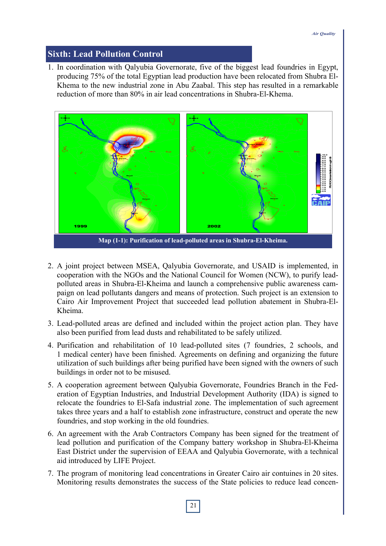# **Sixth: Lead Pollution Control**

1. In coordination with Qalyubia Governorate, five of the biggest lead foundries in Egypt, producing 75% of the total Egyptian lead production have been relocated from Shubra El-Khema to the new industrial zone in Abu Zaabal. This step has resulted in a remarkable reduction of more than 80% in air lead concentrations in Shubra-El-Khema.



- 2. A joint project between MSEA, Qalyubia Governorate, and USAID is implemented, in cooperation with the NGOs and the National Council for Women (NCW), to purify leadpolluted areas in Shubra-El-Kheima and launch a comprehensive public awareness campaign on lead pollutants dangers and means of protection. Such project is an extension to Cairo Air Improvement Project that succeeded lead pollution abatement in Shubra-El-Kheima.
- 3. Lead-polluted areas are defined and included within the project action plan. They have also been purified from lead dusts and rehabilitated to be safely utilized.
- 4. Purification and rehabilitation of 10 lead-polluted sites (7 foundries, 2 schools, and 1 medical center) have been finished. Agreements on defining and organizing the future utilization of such buildings after being purified have been signed with the owners of such buildings in order not to be misused.
- 5. A cooperation agreement between Qalyubia Governorate, Foundries Branch in the Federation of Egyptian Industries, and Industrial Development Authority (IDA) is signed to relocate the foundries to El-Safa industrial zone. The implementation of such agreement takes three years and a half to establish zone infrastructure, construct and operate the new foundries, and stop working in the old foundries.
- 6. An agreement with the Arab Contractors Company has been signed for the treatment of lead pollution and purification of the Company battery workshop in Shubra-El-Kheima East District under the supervision of EEAA and Qalyubia Governorate, with a technical aid introduced by LIFE Project.
- 7. The program of monitoring lead concentrations in Greater Cairo air contuines in 20 sites. Monitoring results demonstrates the success of the State policies to reduce lead concen-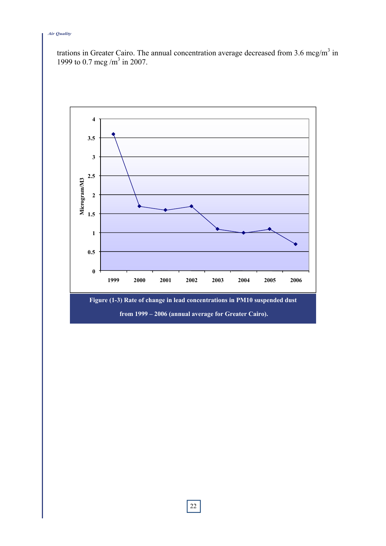#### *Air Quality*

trations in Greater Cairo. The annual concentration average decreased from 3.6 mcg/m<sup>3</sup> in 1999 to 0.7 mcg /m<sup>3</sup> in 2007.

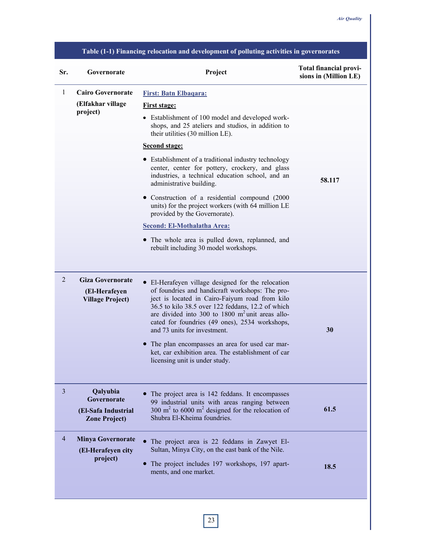| Table (1-1) Financing relocation and development of polluting activities in governorates |                                                                        |                                                                                                                                                                                                                                                                                                                                                      |                                                        |  |
|------------------------------------------------------------------------------------------|------------------------------------------------------------------------|------------------------------------------------------------------------------------------------------------------------------------------------------------------------------------------------------------------------------------------------------------------------------------------------------------------------------------------------------|--------------------------------------------------------|--|
| Sr.                                                                                      | Governorate                                                            | Project                                                                                                                                                                                                                                                                                                                                              | <b>Total financial provi-</b><br>sions in (Million LE) |  |
| 1                                                                                        | <b>Cairo Governorate</b><br>(Elfakhar village<br>project)              | <b>First: Batn Elbagara:</b><br><b>First stage:</b><br>• Establishment of 100 model and developed work-<br>shops, and 25 ateliers and studios, in addition to<br>their utilities (30 million LE).                                                                                                                                                    |                                                        |  |
|                                                                                          |                                                                        | <b>Second stage:</b>                                                                                                                                                                                                                                                                                                                                 |                                                        |  |
|                                                                                          |                                                                        | • Establishment of a traditional industry technology<br>center, center for pottery, crockery, and glass<br>industries, a technical education school, and an<br>administrative building.                                                                                                                                                              | 58.117                                                 |  |
|                                                                                          |                                                                        | • Construction of a residential compound (2000)<br>units) for the project workers (with 64 million LE<br>provided by the Governorate).                                                                                                                                                                                                               |                                                        |  |
|                                                                                          |                                                                        | <b>Second: El-Mothalatha Area:</b>                                                                                                                                                                                                                                                                                                                   |                                                        |  |
|                                                                                          |                                                                        | • The whole area is pulled down, replanned, and<br>rebuilt including 30 model workshops.                                                                                                                                                                                                                                                             |                                                        |  |
| 2                                                                                        | <b>Giza Governorate</b><br>(El-Herafeyen<br><b>Village Project)</b>    | • El-Herafeyen village designed for the relocation<br>of foundries and handicraft workshops: The pro-<br>ject is located in Cairo-Faiyum road from kilo<br>36.5 to kilo 38.5 over 122 feddans, 12.2 of which<br>are divided into 300 to 1800 $m2$ unit areas allo-<br>cated for foundries (49 ones), 2534 workshops,<br>and 73 units for investment. | 30                                                     |  |
|                                                                                          |                                                                        | The plan encompasses an area for used car mar-<br>ket, car exhibition area. The establishment of car<br>licensing unit is under study.                                                                                                                                                                                                               |                                                        |  |
| $\overline{3}$                                                                           | Qalyubia<br>Governorate<br>(El-Safa Industrial<br><b>Zone Project)</b> | The project area is 142 feddans. It encompasses<br>99 industrial units with areas ranging between<br>300 $m2$ to 6000 $m2$ designed for the relocation of<br>Shubra El-Kheima foundries.                                                                                                                                                             | 61.5                                                   |  |
| 4                                                                                        | <b>Minya Governorate</b><br>(El-Herafeyen city<br>project)             | • The project area is 22 feddans in Zawyet El-<br>Sultan, Minya City, on the east bank of the Nile.<br>The project includes 197 workshops, 197 apart-                                                                                                                                                                                                |                                                        |  |
|                                                                                          |                                                                        | ments, and one market.                                                                                                                                                                                                                                                                                                                               | 18.5                                                   |  |